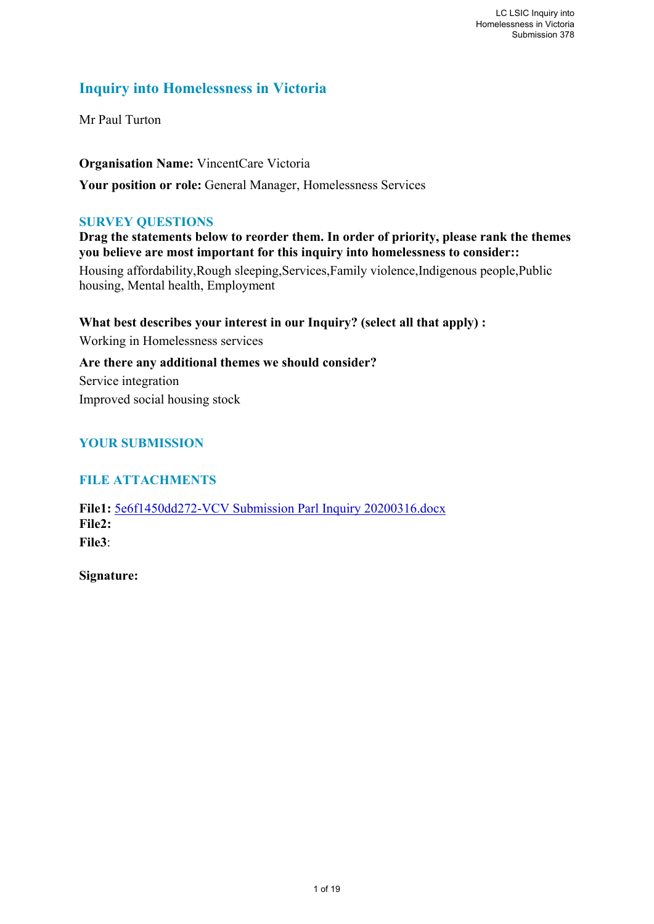# **Inquiry into Homelessness in Victoria**

Mr Paul Turton

**Organisation Name:** VincentCare Victoria **Your position or role:** General Manager, Homelessness Services

### **SURVEY QUESTIONS**

**Drag the statements below to reorder them. In order of priority, please rank the themes you believe are most important for this inquiry into homelessness to consider::** 

Housing affordability,Rough sleeping,Services,Family violence,Indigenous people,Public housing, Mental health, Employment

**What best describes your interest in our Inquiry? (select all that apply) :**  Working in Homelessness services **Are there any additional themes we should consider?**  Service integration Improved social housing stock

## **YOUR SUBMISSION**

## **FILE ATTACHMENTS**

**File1:** 5e6f1450dd272-VCV Submission Parl Inquiry 20200316.docx **File2: File3**:

**Signature:**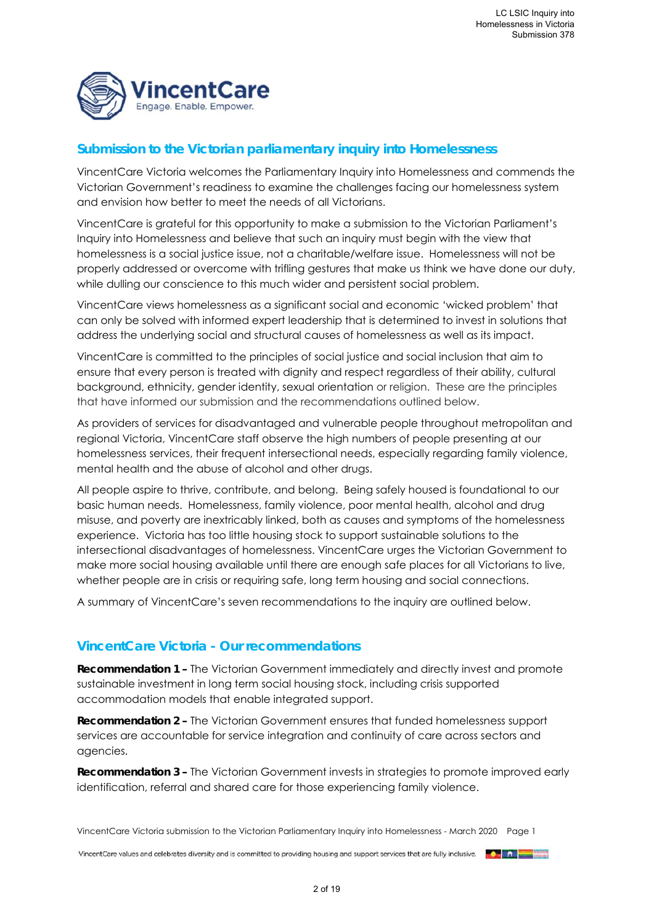

## **Submission to the Victorian parliamentary inquiry into Homelessness**

VincentCare Victoria welcomes the Parliamentary Inquiry into Homelessness and commends the Victorian Government's readiness to examine the challenges facing our homelessness system and envision how better to meet the needs of all Victorians.

VincentCare is grateful for this opportunity to make a submission to the Victorian Parliament's Inquiry into Homelessness and believe that such an inquiry must begin with the view that homelessness is a social justice issue, not a charitable/welfare issue. Homelessness will not be properly addressed or overcome with trifling gestures that make us think we have done our duty, while dulling our conscience to this much wider and persistent social problem.

VincentCare views homelessness as a significant social and economic 'wicked problem' that can only be solved with informed expert leadership that is determined to invest in solutions that address the underlying social and structural causes of homelessness as well as its impact.

VincentCare is committed to the principles of social justice and social inclusion that aim to ensure that every person is treated with dignity and respect regardless of their ability, cultural background, ethnicity, gender identity, sexual orientation or religion. These are the principles that have informed our submission and the recommendations outlined below.

As providers of services for disadvantaged and vulnerable people throughout metropolitan and regional Victoria, VincentCare staff observe the high numbers of people presenting at our homelessness services, their frequent intersectional needs, especially regarding family violence, mental health and the abuse of alcohol and other drugs.

All people aspire to thrive, contribute, and belong. Being safely housed is foundational to our basic human needs. Homelessness, family violence, poor mental health, alcohol and drug misuse, and poverty are inextricably linked, both as causes and symptoms of the homelessness experience. Victoria has too little housing stock to support sustainable solutions to the intersectional disadvantages of homelessness. VincentCare urges the Victorian Government to make more social housing available until there are enough safe places for all Victorians to live, whether people are in crisis or requiring safe, long term housing and social connections.

A summary of VincentCare's seven recommendations to the inquiry are outlined below.

## **VincentCare Victoria - Our recommendations**

**Recommendation 1 –** The Victorian Government immediately and directly invest and promote sustainable investment in long term social housing stock, including crisis supported accommodation models that enable integrated support.

**Recommendation 2 –** The Victorian Government ensures that funded homelessness support services are accountable for service integration and continuity of care across sectors and agencies.

**Recommendation 3 –** The Victorian Government invests in strategies to promote improved early identification, referral and shared care for those experiencing family violence.

VincentCare Victoria submission to the Victorian Parliamentary Inquiry into Homelessness - March 2020 Page 1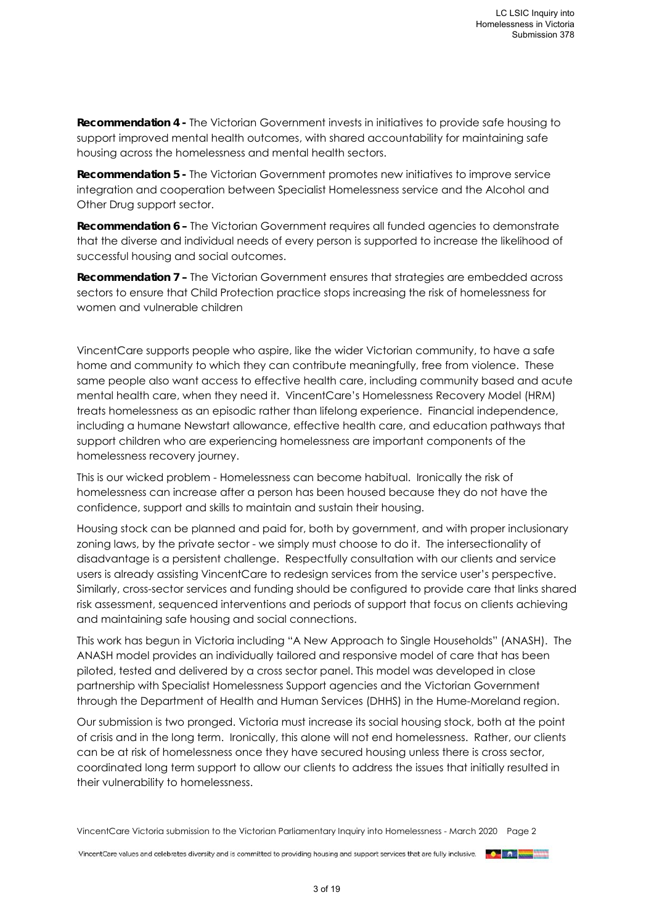**Recommendation 4 -** The Victorian Government invests in initiatives to provide safe housing to support improved mental health outcomes, with shared accountability for maintaining safe housing across the homelessness and mental health sectors.

**Recommendation 5 -** The Victorian Government promotes new initiatives to improve service integration and cooperation between Specialist Homelessness service and the Alcohol and Other Drug support sector.

**Recommendation 6 –** The Victorian Government requires all funded agencies to demonstrate that the diverse and individual needs of every person is supported to increase the likelihood of successful housing and social outcomes.

**Recommendation 7 –** The Victorian Government ensures that strategies are embedded across sectors to ensure that Child Protection practice stops increasing the risk of homelessness for women and vulnerable children

VincentCare supports people who aspire, like the wider Victorian community, to have a safe home and community to which they can contribute meaningfully, free from violence. These same people also want access to effective health care, including community based and acute mental health care, when they need it. VincentCare's Homelessness Recovery Model (HRM) treats homelessness as an episodic rather than lifelong experience. Financial independence, including a humane Newstart allowance, effective health care, and education pathways that support children who are experiencing homelessness are important components of the homelessness recovery journey.

This is our wicked problem - Homelessness can become habitual. Ironically the risk of homelessness can increase after a person has been housed because they do not have the confidence, support and skills to maintain and sustain their housing.

Housing stock can be planned and paid for, both by government, and with proper inclusionary zoning laws, by the private sector - we simply must choose to do it. The intersectionality of disadvantage is a persistent challenge. Respectfully consultation with our clients and service users is already assisting VincentCare to redesign services from the service user's perspective. Similarly, cross-sector services and funding should be configured to provide care that links shared risk assessment, sequenced interventions and periods of support that focus on clients achieving and maintaining safe housing and social connections.

This work has begun in Victoria including "A New Approach to Single Households" (ANASH). The ANASH model provides an individually tailored and responsive model of care that has been piloted, tested and delivered by a cross sector panel. This model was developed in close partnership with Specialist Homelessness Support agencies and the Victorian Government through the Department of Health and Human Services (DHHS) in the Hume-Moreland region.

Our submission is two pronged. Victoria must increase its social housing stock, both at the point of crisis and in the long term. Ironically, this alone will not end homelessness. Rather, our clients can be at risk of homelessness once they have secured housing unless there is cross sector, coordinated long term support to allow our clients to address the issues that initially resulted in their vulnerability to homelessness.

VincentCare Victoria submission to the Victorian Parliamentary Inquiry into Homelessness - March 2020 Page 2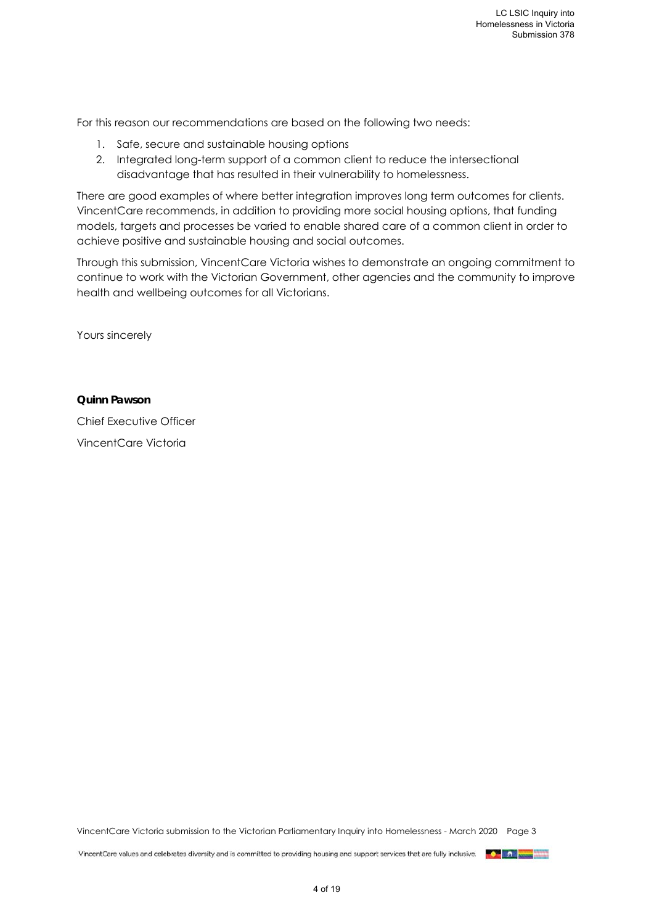For this reason our recommendations are based on the following two needs:

- 1. Safe, secure and sustainable housing options
- 2. Integrated long-term support of a common client to reduce the intersectional disadvantage that has resulted in their vulnerability to homelessness.

There are good examples of where better integration improves long term outcomes for clients. VincentCare recommends, in addition to providing more social housing options, that funding models, targets and processes be varied to enable shared care of a common client in order to achieve positive and sustainable housing and social outcomes.

Through this submission, VincentCare Victoria wishes to demonstrate an ongoing commitment to continue to work with the Victorian Government, other agencies and the community to improve health and wellbeing outcomes for all Victorians.

Yours sincerely

#### **Quinn Pawson**

Chief Executive Officer VincentCare Victoria

VincentCare Victoria submission to the Victorian Parliamentary Inquiry into Homelessness - March 2020 Page 3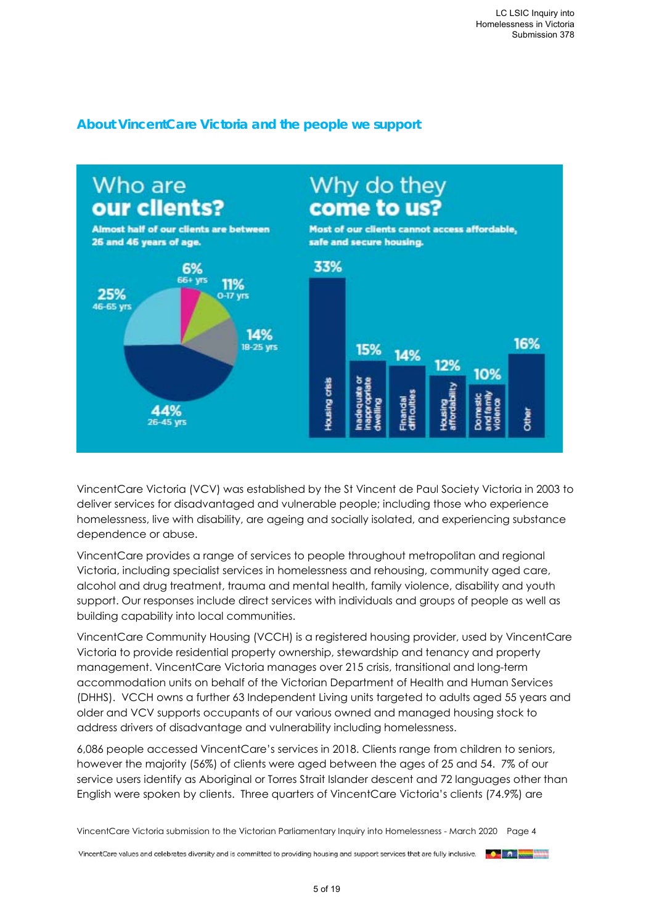

## **About VincentCare Victoria and the people we support**

VincentCare Victoria (VCV) was established by the St Vincent de Paul Society Victoria in 2003 to deliver services for disadvantaged and vulnerable people; including those who experience homelessness, live with disability, are ageing and socially isolated, and experiencing substance dependence or abuse.

VincentCare provides a range of services to people throughout metropolitan and regional Victoria, including specialist services in homelessness and rehousing, community aged care, alcohol and drug treatment, trauma and mental health, family violence, disability and youth support. Our responses include direct services with individuals and groups of people as well as building capability into local communities.

VincentCare Community Housing (VCCH) is a registered housing provider, used by VincentCare Victoria to provide residential property ownership, stewardship and tenancy and property management. VincentCare Victoria manages over 215 crisis, transitional and long-term accommodation units on behalf of the Victorian Department of Health and Human Services (DHHS). VCCH owns a further 63 Independent Living units targeted to adults aged 55 years and older and VCV supports occupants of our various owned and managed housing stock to address drivers of disadvantage and vulnerability including homelessness.

6,086 people accessed VincentCare's services in 2018. Clients range from children to seniors, however the majority (56%) of clients were aged between the ages of 25 and 54. 7% of our service users identify as Aboriginal or Torres Strait Islander descent and 72 languages other than English were spoken by clients. Three quarters of VincentCare Victoria's clients (74.9%) are

VincentCare Victoria submission to the Victorian Parliamentary Inquiry into Homelessness - March 2020 Page 4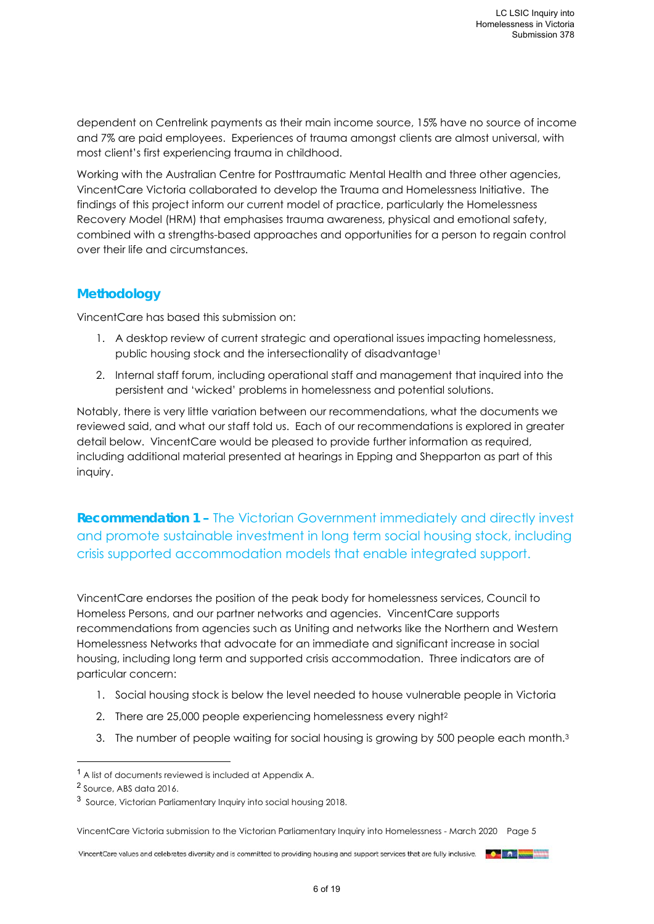dependent on Centrelink payments as their main income source, 15% have no source of income and 7% are paid employees. Experiences of trauma amongst clients are almost universal, with most client's first experiencing trauma in childhood.

Working with the Australian Centre for Posttraumatic Mental Health and three other agencies, VincentCare Victoria collaborated to develop the Trauma and Homelessness Initiative. The findings of this project inform our current model of practice, particularly the Homelessness Recovery Model (HRM) that emphasises trauma awareness, physical and emotional safety, combined with a strengths-based approaches and opportunities for a person to regain control over their life and circumstances.

## **Methodology**

VincentCare has based this submission on:

- 1. A desktop review of current strategic and operational issues impacting homelessness, public housing stock and the intersectionality of disadvantage<sup>1</sup>
- 2. Internal staff forum, including operational staff and management that inquired into the persistent and 'wicked' problems in homelessness and potential solutions.

Notably, there is very little variation between our recommendations, what the documents we reviewed said, and what our staff told us. Each of our recommendations is explored in greater detail below. VincentCare would be pleased to provide further information as required, including additional material presented at hearings in Epping and Shepparton as part of this inquiry.

**Recommendation 1 –** The Victorian Government immediately and directly invest and promote sustainable investment in long term social housing stock, including crisis supported accommodation models that enable integrated support.

VincentCare endorses the position of the peak body for homelessness services, Council to Homeless Persons, and our partner networks and agencies. VincentCare supports recommendations from agencies such as Uniting and networks like the Northern and Western Homelessness Networks that advocate for an immediate and significant increase in social housing, including long term and supported crisis accommodation. Three indicators are of particular concern:

- 1. Social housing stock is below the level needed to house vulnerable people in Victoria
- 2. There are 25,000 people experiencing homelessness every night2
- 3. The number of people waiting for social housing is growing by 500 people each month.<sup>3</sup>

1

VincentCare Victoria submission to the Victorian Parliamentary Inquiry into Homelessness - March 2020 Page 5

<sup>1</sup> A list of documents reviewed is included at Appendix A.

<sup>2</sup> Source, ABS data 2016.

<sup>3</sup> Source, Victorian Parliamentary Inquiry into social housing 2018.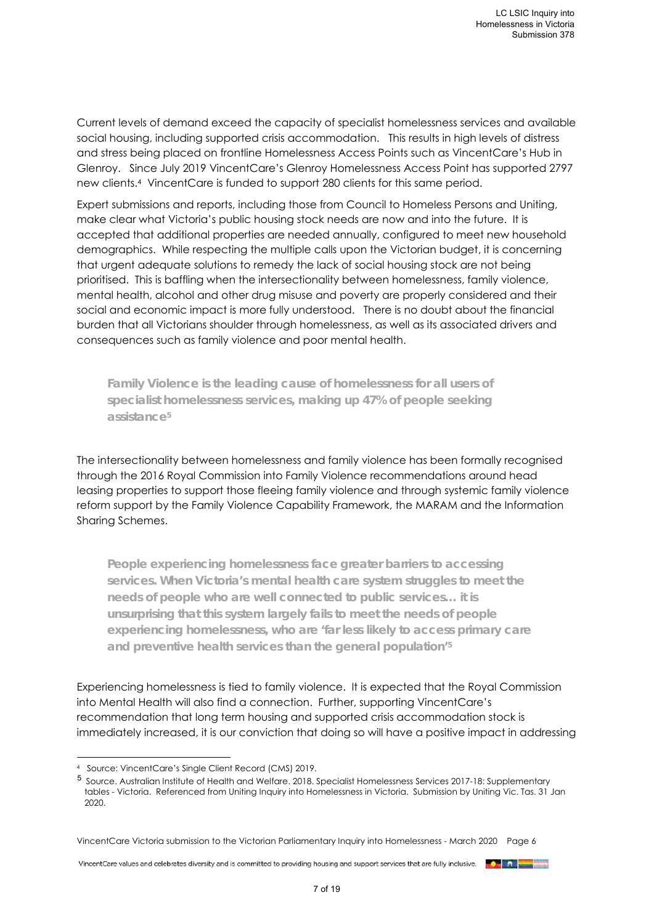Current levels of demand exceed the capacity of specialist homelessness services and available social housing, including supported crisis accommodation. This results in high levels of distress and stress being placed on frontline Homelessness Access Points such as VincentCare's Hub in Glenroy. Since July 2019 VincentCare's Glenroy Homelessness Access Point has supported 2797 new clients.4 VincentCare is funded to support 280 clients for this same period.

Expert submissions and reports, including those from Council to Homeless Persons and Uniting, make clear what Victoria's public housing stock needs are now and into the future. It is accepted that additional properties are needed annually, configured to meet new household demographics. While respecting the multiple calls upon the Victorian budget, it is concerning that urgent adequate solutions to remedy the lack of social housing stock are not being prioritised. This is baffling when the intersectionality between homelessness, family violence, mental health, alcohol and other drug misuse and poverty are properly considered and their social and economic impact is more fully understood. There is no doubt about the financial burden that all Victorians shoulder through homelessness, as well as its associated drivers and consequences such as family violence and poor mental health.

**Family Violence is the leading cause of homelessness for all users of specialist homelessness services, making up 47% of people seeking assistance5**

The intersectionality between homelessness and family violence has been formally recognised through the 2016 Royal Commission into Family Violence recommendations around head leasing properties to support those fleeing family violence and through systemic family violence reform support by the Family Violence Capability Framework, the MARAM and the Information Sharing Schemes.

**People experiencing homelessness face greater barriers to accessing services. When Victoria's mental health care system struggles to meet the needs of people who are well connected to public services… it is unsurprising that this system largely fails to meet the needs of people experiencing homelessness, who are 'far less likely to access primary care and preventive health services than the general population'5**

Experiencing homelessness is tied to family violence. It is expected that the Royal Commission into Mental Health will also find a connection. Further, supporting VincentCare's recommendation that long term housing and supported crisis accommodation stock is immediately increased, it is our conviction that doing so will have a positive impact in addressing

1



<sup>4</sup> Source: VincentCare's Single Client Record (CMS) 2019.

<sup>5</sup> Source. Australian Institute of Health and Welfare. 2018. Specialist Homelessness Services 2017-18: Supplementary tables - Victoria. Referenced from Uniting Inquiry into Homelessness in Victoria. Submission by Uniting Vic. Tas. 31 Jan 2020.

VincentCare Victoria submission to the Victorian Parliamentary Inquiry into Homelessness - March 2020 Page 6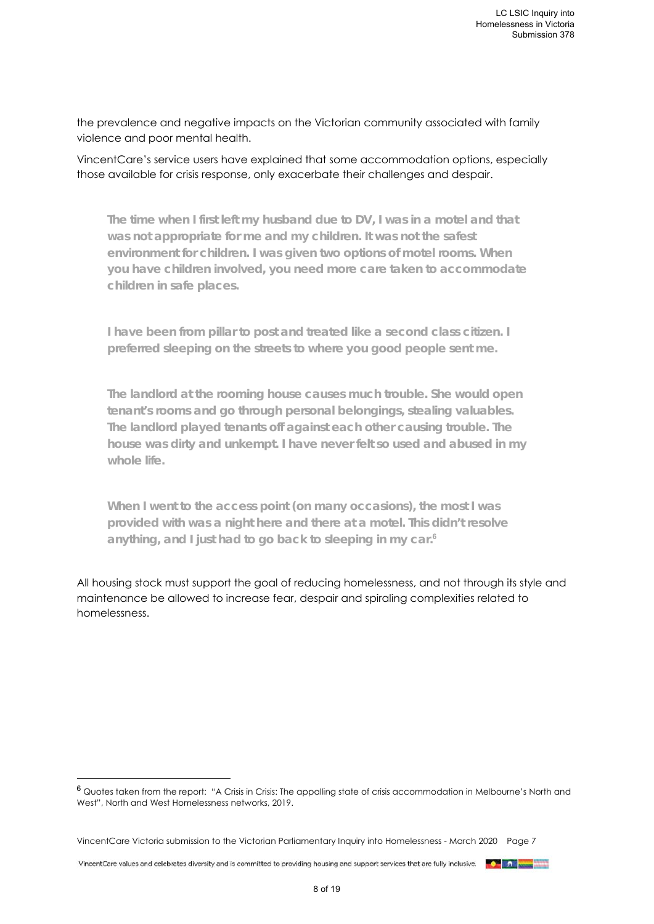the prevalence and negative impacts on the Victorian community associated with family violence and poor mental health.

VincentCare's service users have explained that some accommodation options, especially those available for crisis response, only exacerbate their challenges and despair.

**The time when I first left my husband due to DV, I was in a motel and that was not appropriate for me and my children. It was not the safest environment for children. I was given two options of motel rooms. When you have children involved, you need more care taken to accommodate children in safe places.** 

**I have been from pillar to post and treated like a second class citizen. I preferred sleeping on the streets to where you good people sent me.** 

**The landlord at the rooming house causes much trouble. She would open tenant's rooms and go through personal belongings, stealing valuables. The landlord played tenants off against each other causing trouble. The house was dirty and unkempt. I have never felt so used and abused in my whole life.** 

**When I went to the access point (on many occasions), the most I was provided with was a night here and there at a motel. This didn't resolve anything, and I just had to go back to sleeping in my car.<sup>6</sup>**

All housing stock must support the goal of reducing homelessness, and not through its style and maintenance be allowed to increase fear, despair and spiraling complexities related to homelessness.

VincentCare values and celebrates diversity and is committed to providing housing and support services that are fully inclusive.

1

<sup>6</sup> Quotes taken from the report: "A Crisis in Crisis: The appalling state of crisis accommodation in Melbourne's North and West", North and West Homelessness networks, 2019.

VincentCare Victoria submission to the Victorian Parliamentary Inquiry into Homelessness - March 2020 Page 7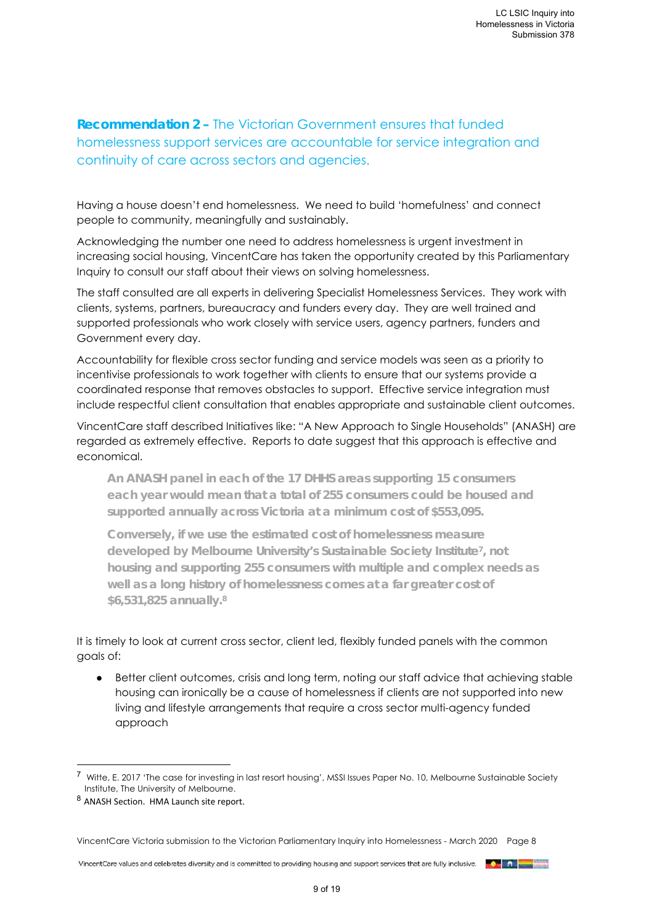# **Recommendation 2 –** The Victorian Government ensures that funded homelessness support services are accountable for service integration and continuity of care across sectors and agencies.

Having a house doesn't end homelessness. We need to build 'homefulness' and connect people to community, meaningfully and sustainably.

Acknowledging the number one need to address homelessness is urgent investment in increasing social housing, VincentCare has taken the opportunity created by this Parliamentary Inquiry to consult our staff about their views on solving homelessness.

The staff consulted are all experts in delivering Specialist Homelessness Services. They work with clients, systems, partners, bureaucracy and funders every day. They are well trained and supported professionals who work closely with service users, agency partners, funders and Government every day.

Accountability for flexible cross sector funding and service models was seen as a priority to incentivise professionals to work together with clients to ensure that our systems provide a coordinated response that removes obstacles to support. Effective service integration must include respectful client consultation that enables appropriate and sustainable client outcomes.

VincentCare staff described Initiatives like: "A New Approach to Single Households" (ANASH) are regarded as extremely effective. Reports to date suggest that this approach is effective and economical.

**An ANASH panel in each of the 17 DHHS areas supporting 15 consumers each year would mean that a total of 255 consumers could be housed and supported annually across Victoria at a minimum cost of \$553,095.** 

**Conversely, if we use the estimated cost of homelessness measure developed by Melbourne University's Sustainable Society Institute7, not housing and supporting 255 consumers with multiple and complex needs as well as a long history of homelessness comes at a far greater cost of \$6,531,825 annually.8**

It is timely to look at current cross sector, client led, flexibly funded panels with the common goals of:

● Better client outcomes, crisis and long term, noting our staff advice that achieving stable housing can ironically be a cause of homelessness if clients are not supported into new living and lifestyle arrangements that require a cross sector multi-agency funded approach

1

VincentCare Victoria submission to the Victorian Parliamentary Inquiry into Homelessness - March 2020 Page 8

<sup>7</sup> Witte, E. 2017 'The case for investing in last resort housing', MSSI Issues Paper No. 10, Melbourne Sustainable Society Institute, The University of Melbourne.

<sup>8</sup> ANASH Section. HMA Launch site report.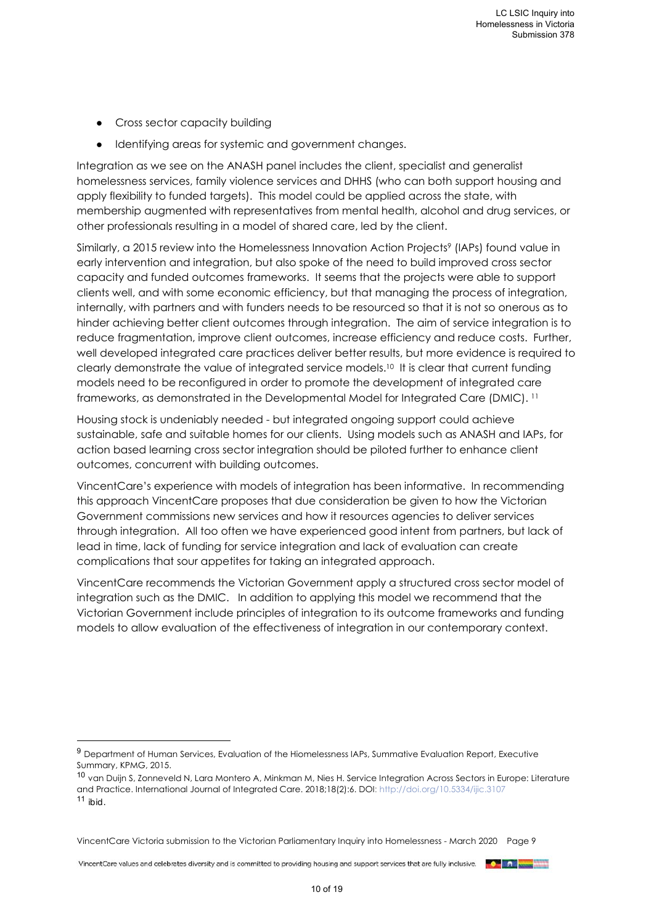• Cross sector capacity building

1

● Identifying areas for systemic and government changes.

Integration as we see on the ANASH panel includes the client, specialist and generalist homelessness services, family violence services and DHHS (who can both support housing and apply flexibility to funded targets). This model could be applied across the state, with membership augmented with representatives from mental health, alcohol and drug services, or other professionals resulting in a model of shared care, led by the client.

Similarly, a 2015 review into the Homelessness Innovation Action Projects<sup>9</sup> (IAPs) found value in early intervention and integration, but also spoke of the need to build improved cross sector capacity and funded outcomes frameworks. It seems that the projects were able to support clients well, and with some economic efficiency, but that managing the process of integration, internally, with partners and with funders needs to be resourced so that it is not so onerous as to hinder achieving better client outcomes through integration. The aim of service integration is to reduce fragmentation, improve client outcomes, increase efficiency and reduce costs. Further, well developed integrated care practices deliver better results, but more evidence is required to clearly demonstrate the value of integrated service models.10 It is clear that current funding models need to be reconfigured in order to promote the development of integrated care frameworks, as demonstrated in the Developmental Model for Integrated Care (DMIC). 11

Housing stock is undeniably needed - but integrated ongoing support could achieve sustainable, safe and suitable homes for our clients. Using models such as ANASH and IAPs, for action based learning cross sector integration should be piloted further to enhance client outcomes, concurrent with building outcomes.

VincentCare's experience with models of integration has been informative. In recommending this approach VincentCare proposes that due consideration be given to how the Victorian Government commissions new services and how it resources agencies to deliver services through integration. All too often we have experienced good intent from partners, but lack of lead in time, lack of funding for service integration and lack of evaluation can create complications that sour appetites for taking an integrated approach.

VincentCare recommends the Victorian Government apply a structured cross sector model of integration such as the DMIC. In addition to applying this model we recommend that the Victorian Government include principles of integration to its outcome frameworks and funding models to allow evaluation of the effectiveness of integration in our contemporary context.

<sup>9</sup> Department of Human Services, Evaluation of the Hiomelessness IAPs, Summative Evaluation Report, Executive Summary, KPMG, 2015.

<sup>10</sup> van Duijn S, Zonneveld N, Lara Montero A, Minkman M, Nies H. Service Integration Across Sectors in Europe: Literature and Practice. International Journal of Integrated Care. 2018;18(2):6. DOI: http://doi.org/10.5334/ijic.3107 <sup>11</sup> *ibid.* 

VincentCare Victoria submission to the Victorian Parliamentary Inquiry into Homelessness - March 2020 Page 9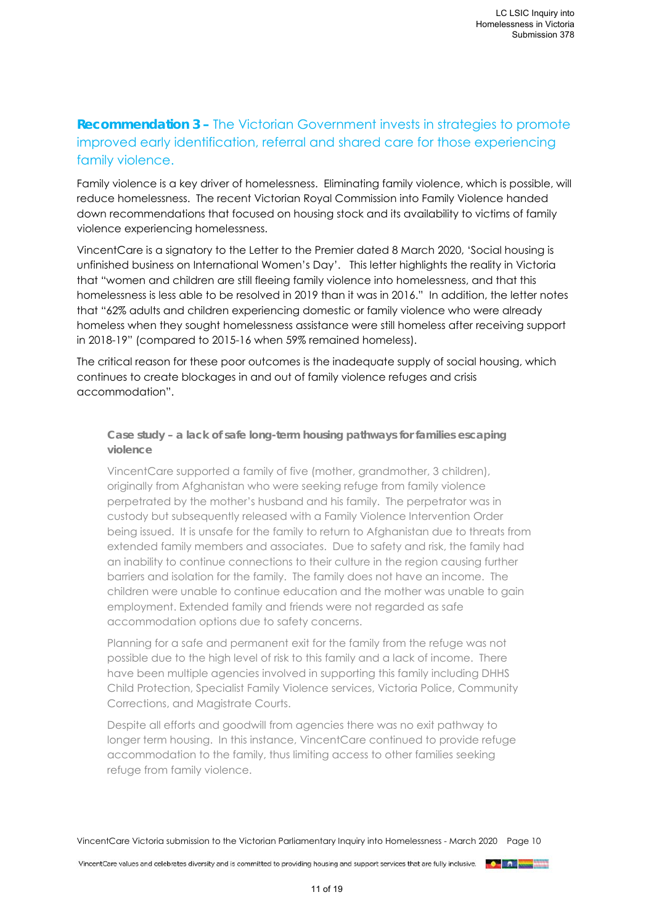# **Recommendation 3 –** The Victorian Government invests in strategies to promote improved early identification, referral and shared care for those experiencing family violence.

Family violence is a key driver of homelessness. Eliminating family violence, which is possible, will reduce homelessness. The recent Victorian Royal Commission into Family Violence handed down recommendations that focused on housing stock and its availability to victims of family violence experiencing homelessness.

VincentCare is a signatory to the Letter to the Premier dated 8 March 2020, 'Social housing is unfinished business on International Women's Day'. This letter highlights the reality in Victoria that "women and children are still fleeing family violence into homelessness, and that this homelessness is less able to be resolved in 2019 than it was in 2016." In addition, the letter notes that "62% adults and children experiencing domestic or family violence who were already homeless when they sought homelessness assistance were still homeless after receiving support in 2018-19" (compared to 2015-16 when 59% remained homeless).

The critical reason for these poor outcomes is the inadequate supply of social housing, which continues to create blockages in and out of family violence refuges and crisis accommodation".

**Case study – a lack of safe long-term housing pathways for families escaping violence** 

VincentCare supported a family of five (mother, grandmother, 3 children), originally from Afghanistan who were seeking refuge from family violence perpetrated by the mother's husband and his family. The perpetrator was in custody but subsequently released with a Family Violence Intervention Order being issued. It is unsafe for the family to return to Afghanistan due to threats from extended family members and associates. Due to safety and risk, the family had an inability to continue connections to their culture in the region causing further barriers and isolation for the family. The family does not have an income. The children were unable to continue education and the mother was unable to gain employment. Extended family and friends were not regarded as safe accommodation options due to safety concerns.

Planning for a safe and permanent exit for the family from the refuge was not possible due to the high level of risk to this family and a lack of income. There have been multiple agencies involved in supporting this family including DHHS Child Protection, Specialist Family Violence services, Victoria Police, Community Corrections, and Magistrate Courts.

Despite all efforts and goodwill from agencies there was no exit pathway to longer term housing. In this instance, VincentCare continued to provide refuge accommodation to the family, thus limiting access to other families seeking refuge from family violence.

VincentCare Victoria submission to the Victorian Parliamentary Inquiry into Homelessness - March 2020 Page 10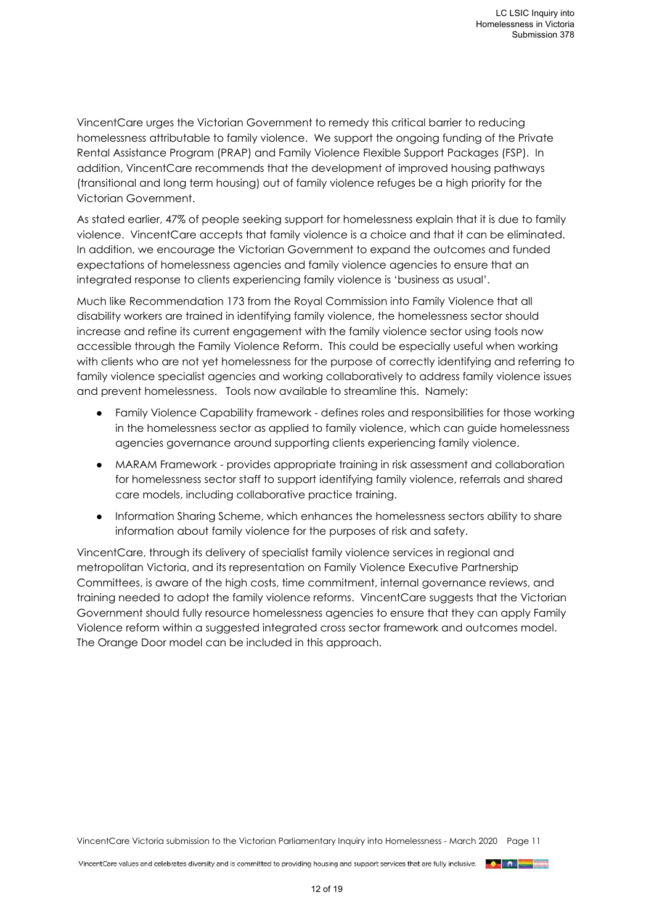VincentCare urges the Victorian Government to remedy this critical barrier to reducing homelessness attributable to family violence. We support the ongoing funding of the Private Rental Assistance Program (PRAP) and Family Violence Flexible Support Packages (FSP). In addition, VincentCare recommends that the development of improved housing pathways (transitional and long term housing) out of family violence refuges be a high priority for the Victorian Government.

As stated earlier, 47% of people seeking support for homelessness explain that it is due to family violence. VincentCare accepts that family violence is a choice and that it can be eliminated. In addition, we encourage the Victorian Government to expand the outcomes and funded expectations of homelessness agencies and family violence agencies to ensure that an integrated response to clients experiencing family violence is 'business as usual'.

Much like Recommendation 173 from the Royal Commission into Family Violence that all disability workers are trained in identifying family violence, the homelessness sector should increase and refine its current engagement with the family violence sector using tools now accessible through the Family Violence Reform. This could be especially useful when working with clients who are not yet homelessness for the purpose of correctly identifying and referring to family violence specialist agencies and working collaboratively to address family violence issues and prevent homelessness. Tools now available to streamline this. Namely:

- Family Violence Capability framework defines roles and responsibilities for those working in the homelessness sector as applied to family violence, which can guide homelessness agencies governance around supporting clients experiencing family violence.
- MARAM Framework provides appropriate training in risk assessment and collaboration for homelessness sector staff to support identifying family violence, referrals and shared care models, including collaborative practice training.
- Information Sharing Scheme, which enhances the homelessness sectors ability to share information about family violence for the purposes of risk and safety.

VincentCare, through its delivery of specialist family violence services in regional and metropolitan Victoria, and its representation on Family Violence Executive Partnership Committees, is aware of the high costs, time commitment, internal governance reviews, and training needed to adopt the family violence reforms. VincentCare suggests that the Victorian Government should fully resource homelessness agencies to ensure that they can apply Family Violence reform within a suggested integrated cross sector framework and outcomes model. The Orange Door model can be included in this approach.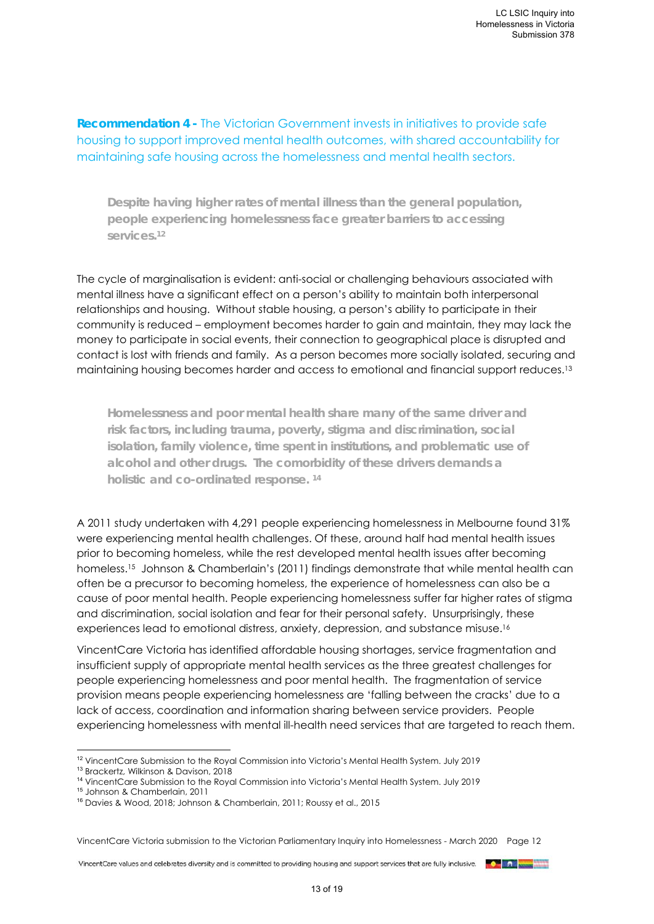**Recommendation 4 -** The Victorian Government invests in initiatives to provide safe housing to support improved mental health outcomes, with shared accountability for maintaining safe housing across the homelessness and mental health sectors.

**Despite having higher rates of mental illness than the general population, people experiencing homelessness face greater barriers to accessing services.12**

The cycle of marginalisation is evident: anti-social or challenging behaviours associated with mental illness have a significant effect on a person's ability to maintain both interpersonal relationships and housing. Without stable housing, a person's ability to participate in their community is reduced – employment becomes harder to gain and maintain, they may lack the money to participate in social events, their connection to geographical place is disrupted and contact is lost with friends and family. As a person becomes more socially isolated, securing and maintaining housing becomes harder and access to emotional and financial support reduces.13

**Homelessness and poor mental health share many of the same driver and risk factors, including trauma, poverty, stigma and discrimination, social isolation, family violence, time spent in institutions, and problematic use of alcohol and other drugs. The comorbidity of these drivers demands a holistic and co-ordinated response. 14** 

A 2011 study undertaken with 4,291 people experiencing homelessness in Melbourne found 31% were experiencing mental health challenges. Of these, around half had mental health issues prior to becoming homeless, while the rest developed mental health issues after becoming homeless.<sup>15</sup> Johnson & Chamberlain's (2011) findings demonstrate that while mental health can often be a precursor to becoming homeless, the experience of homelessness can also be a cause of poor mental health. People experiencing homelessness suffer far higher rates of stigma and discrimination, social isolation and fear for their personal safety. Unsurprisingly, these experiences lead to emotional distress, anxiety, depression, and substance misuse.16

VincentCare Victoria has identified affordable housing shortages, service fragmentation and insufficient supply of appropriate mental health services as the three greatest challenges for people experiencing homelessness and poor mental health. The fragmentation of service provision means people experiencing homelessness are 'falling between the cracks' due to a lack of access, coordination and information sharing between service providers. People experiencing homelessness with mental ill-health need services that are targeted to reach them.

VincentCare Victoria submission to the Victorian Parliamentary Inquiry into Homelessness - March 2020 Page 12

<sup>1</sup> <sup>12</sup> VincentCare Submission to the Royal Commission into Victoria's Mental Health System. July 2019 <sup>13</sup> Brackertz, Wilkinson & Davison, 2018

<sup>14</sup> VincentCare Submission to the Royal Commission into Victoria's Mental Health System. July 2019

<sup>15</sup> Johnson & Chamberlain, 2011

<sup>16</sup> Davies & Wood, 2018; Johnson & Chamberlain, 2011; Roussy et al., 2015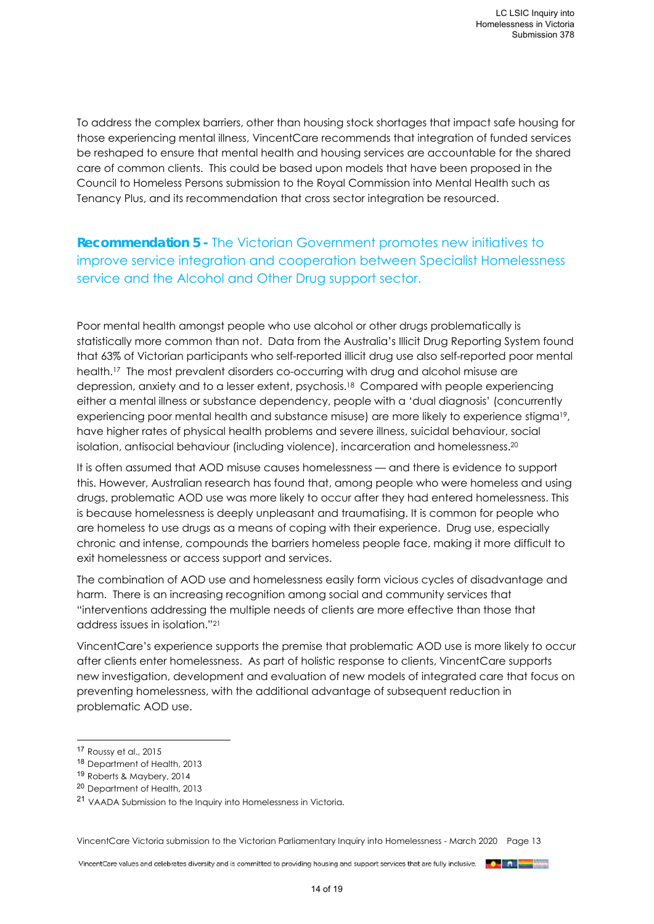To address the complex barriers, other than housing stock shortages that impact safe housing for those experiencing mental illness, VincentCare recommends that integration of funded services be reshaped to ensure that mental health and housing services are accountable for the shared care of common clients. This could be based upon models that have been proposed in the Council to Homeless Persons submission to the Royal Commission into Mental Health such as Tenancy Plus, and its recommendation that cross sector integration be resourced.

**Recommendation 5 -** The Victorian Government promotes new initiatives to improve service integration and cooperation between Specialist Homelessness service and the Alcohol and Other Drug support sector.

Poor mental health amongst people who use alcohol or other drugs problematically is statistically more common than not. Data from the Australia's Illicit Drug Reporting System found that 63% of Victorian participants who self-reported illicit drug use also self-reported poor mental health.17 The most prevalent disorders co-occurring with drug and alcohol misuse are depression, anxiety and to a lesser extent, psychosis.18 Compared with people experiencing either a mental illness or substance dependency, people with a 'dual diagnosis' (concurrently experiencing poor mental health and substance misuse) are more likely to experience stigma<sup>19</sup>, have higher rates of physical health problems and severe illness, suicidal behaviour, social isolation, antisocial behaviour (including violence), incarceration and homelessness.20

It is often assumed that AOD misuse causes homelessness — and there is evidence to support this. However, Australian research has found that, among people who were homeless and using drugs, problematic AOD use was more likely to occur after they had entered homelessness. This is because homelessness is deeply unpleasant and traumatising. It is common for people who are homeless to use drugs as a means of coping with their experience. Drug use, especially chronic and intense, compounds the barriers homeless people face, making it more difficult to exit homelessness or access support and services.

The combination of AOD use and homelessness easily form vicious cycles of disadvantage and harm. There is an increasing recognition among social and community services that "interventions addressing the multiple needs of clients are more effective than those that address issues in isolation."21

VincentCare's experience supports the premise that problematic AOD use is more likely to occur after clients enter homelessness. As part of holistic response to clients, VincentCare supports new investigation, development and evaluation of new models of integrated care that focus on preventing homelessness, with the additional advantage of subsequent reduction in problematic AOD use.

1

VincentCare Victoria submission to the Victorian Parliamentary Inquiry into Homelessness - March 2020 Page 13

<sup>17</sup> Roussy et al., 2015

<sup>18</sup> Department of Health, 2013

<sup>19</sup> Roberts & Maybery, 2014

<sup>20</sup> Department of Health, 2013

<sup>21</sup> VAADA Submission to the Inquiry into Homelessness in Victoria.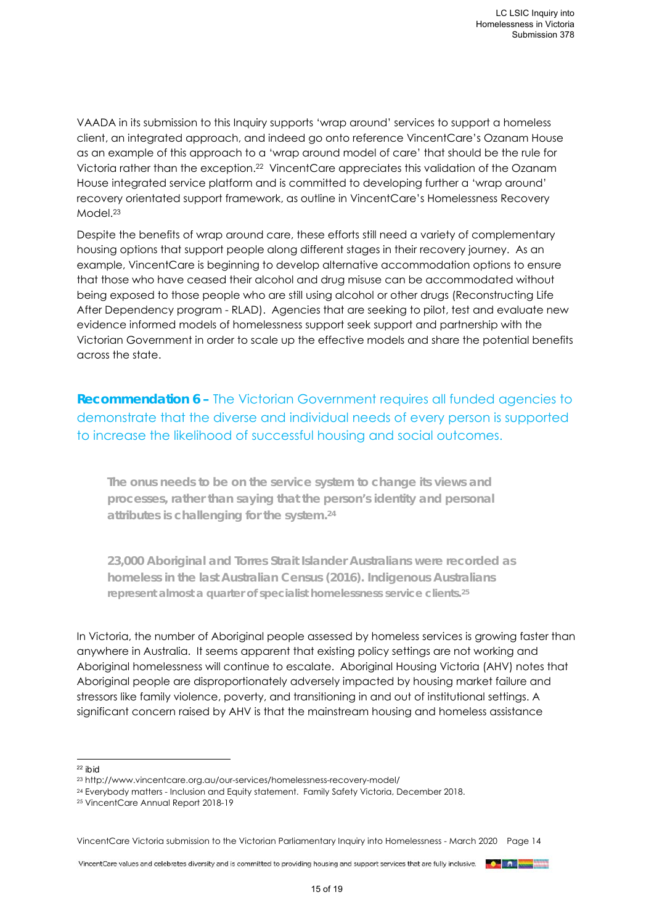VAADA in its submission to this Inquiry supports 'wrap around' services to support a homeless client, an integrated approach, and indeed go onto reference VincentCare's Ozanam House as an example of this approach to a 'wrap around model of care' that should be the rule for Victoria rather than the exception.22 VincentCare appreciates this validation of the Ozanam House integrated service platform and is committed to developing further a 'wrap around' recovery orientated support framework, as outline in VincentCare's Homelessness Recovery Model.23

Despite the benefits of wrap around care, these efforts still need a variety of complementary housing options that support people along different stages in their recovery journey. As an example, VincentCare is beginning to develop alternative accommodation options to ensure that those who have ceased their alcohol and drug misuse can be accommodated without being exposed to those people who are still using alcohol or other drugs (Reconstructing Life After Dependency program - RLAD). Agencies that are seeking to pilot, test and evaluate new evidence informed models of homelessness support seek support and partnership with the Victorian Government in order to scale up the effective models and share the potential benefits across the state.

**Recommendation 6 –** The Victorian Government requires all funded agencies to demonstrate that the diverse and individual needs of every person is supported to increase the likelihood of successful housing and social outcomes.

**The onus needs to be on the service system to change its views and processes, rather than saying that the person's identity and personal attributes is challenging for the system.24**

**23,000 Aboriginal and Torres Strait Islander Australians were recorded as homeless in the last Australian Census (2016). Indigenous Australians represent almost a quarter of specialist homelessness service clients.25**

In Victoria, the number of Aboriginal people assessed by homeless services is growing faster than anywhere in Australia. It seems apparent that existing policy settings are not working and Aboriginal homelessness will continue to escalate. Aboriginal Housing Victoria (AHV) notes that Aboriginal people are disproportionately adversely impacted by housing market failure and stressors like family violence, poverty, and transitioning in and out of institutional settings. A significant concern raised by AHV is that the mainstream housing and homeless assistance

<sup>-</sup><sup>22</sup> *ibid*

<sup>23</sup> http://www.vincentcare.org.au/our-services/homelessness-recovery-model/

<sup>24</sup> Everybody matters - Inclusion and Equity statement. Family Safety Victoria, December 2018.

<sup>25</sup> VincentCare Annual Report 2018-19

VincentCare Victoria submission to the Victorian Parliamentary Inquiry into Homelessness - March 2020 Page 14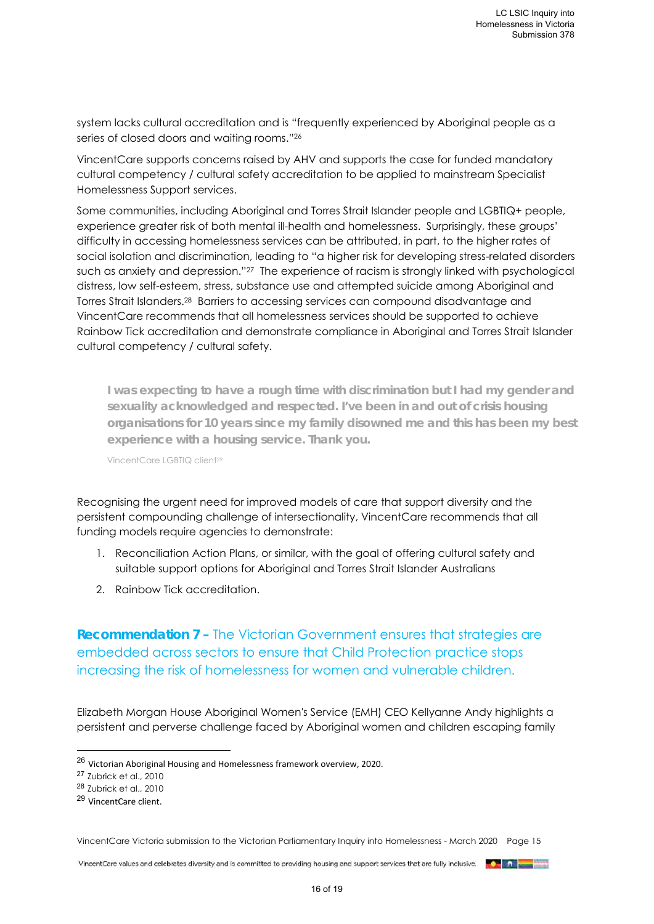system lacks cultural accreditation and is "frequently experienced by Aboriginal people as a series of closed doors and waiting rooms."26

VincentCare supports concerns raised by AHV and supports the case for funded mandatory cultural competency / cultural safety accreditation to be applied to mainstream Specialist Homelessness Support services.

Some communities, including Aboriginal and Torres Strait Islander people and LGBTIQ+ people, experience greater risk of both mental ill-health and homelessness. Surprisingly, these groups' difficulty in accessing homelessness services can be attributed, in part, to the higher rates of social isolation and discrimination, leading to "a higher risk for developing stress-related disorders such as anxiety and depression."27 The experience of racism is strongly linked with psychological distress, low self-esteem, stress, substance use and attempted suicide among Aboriginal and Torres Strait Islanders.28 Barriers to accessing services can compound disadvantage and VincentCare recommends that all homelessness services should be supported to achieve Rainbow Tick accreditation and demonstrate compliance in Aboriginal and Torres Strait Islander cultural competency / cultural safety.

**I was expecting to have a rough time with discrimination but I had my gender and sexuality acknowledged and respected. I've been in and out of crisis housing organisations for 10 years since my family disowned me and this has been my best experience with a housing service. Thank you.** 

VincentCare LGBTIQ client<sup>29</sup>

Recognising the urgent need for improved models of care that support diversity and the persistent compounding challenge of intersectionality, VincentCare recommends that all funding models require agencies to demonstrate:

- 1. Reconciliation Action Plans, or similar, with the goal of offering cultural safety and suitable support options for Aboriginal and Torres Strait Islander Australians
- 2. Rainbow Tick accreditation.

**Recommendation 7 – The Victorian Government ensures that strategies are** embedded across sectors to ensure that Child Protection practice stops increasing the risk of homelessness for women and vulnerable children.

Elizabeth Morgan House Aboriginal Women's Service (EMH) CEO Kellyanne Andy highlights a persistent and perverse challenge faced by Aboriginal women and children escaping family

<sup>27</sup> Zubrick et al., 2010

-

<sup>29</sup> VincentCare client.

VincentCare Victoria submission to the Victorian Parliamentary Inquiry into Homelessness - March 2020 Page 15

<sup>26</sup> Victorian Aboriginal Housing and Homelessness framework overview, 2020.

<sup>28</sup> Zubrick et al., 2010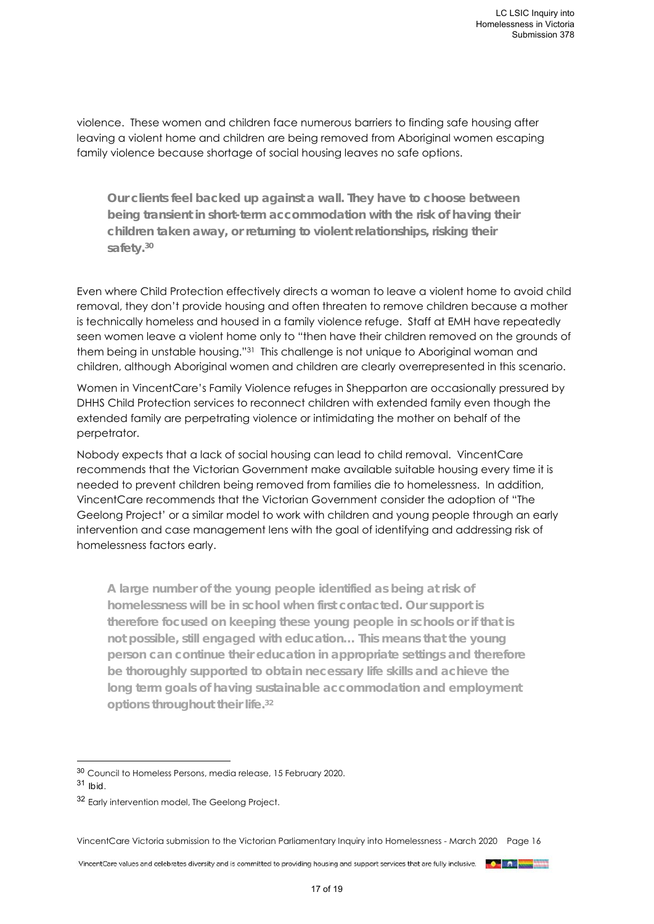violence. These women and children face numerous barriers to finding safe housing after leaving a violent home and children are being removed from Aboriginal women escaping family violence because shortage of social housing leaves no safe options.

**Our clients feel backed up against a wall. They have to choose between being transient in short-term accommodation with the risk of having their children taken away, or returning to violent relationships, risking their safety.30**

Even where Child Protection effectively directs a woman to leave a violent home to avoid child removal, they don't provide housing and often threaten to remove children because a mother is technically homeless and housed in a family violence refuge. Staff at EMH have repeatedly seen women leave a violent home only to "then have their children removed on the grounds of them being in unstable housing."31 This challenge is not unique to Aboriginal woman and children, although Aboriginal women and children are clearly overrepresented in this scenario.

Women in VincentCare's Family Violence refuges in Shepparton are occasionally pressured by DHHS Child Protection services to reconnect children with extended family even though the extended family are perpetrating violence or intimidating the mother on behalf of the perpetrator.

Nobody expects that a lack of social housing can lead to child removal. VincentCare recommends that the Victorian Government make available suitable housing every time it is needed to prevent children being removed from families die to homelessness. In addition, VincentCare recommends that the Victorian Government consider the adoption of "The Geelong Project' or a similar model to work with children and young people through an early intervention and case management lens with the goal of identifying and addressing risk of homelessness factors early.

**A large number of the young people identified as being at risk of homelessness will be in school when first contacted. Our support is therefore focused on keeping these young people in schools or if that is not possible, still engaged with education… This means that the young person can continue their education in appropriate settings and therefore be thoroughly supported to obtain necessary life skills and achieve the long term goals of having sustainable accommodation and employment options throughout their life.32**

1

VincentCare Victoria submission to the Victorian Parliamentary Inquiry into Homelessness - March 2020 Page 16

 $17 of 10$ 

<sup>30</sup> Council to Homeless Persons, media release, 15 February 2020.

<sup>31</sup> *Ibid*.

<sup>32</sup> Early intervention model, The Geelong Project.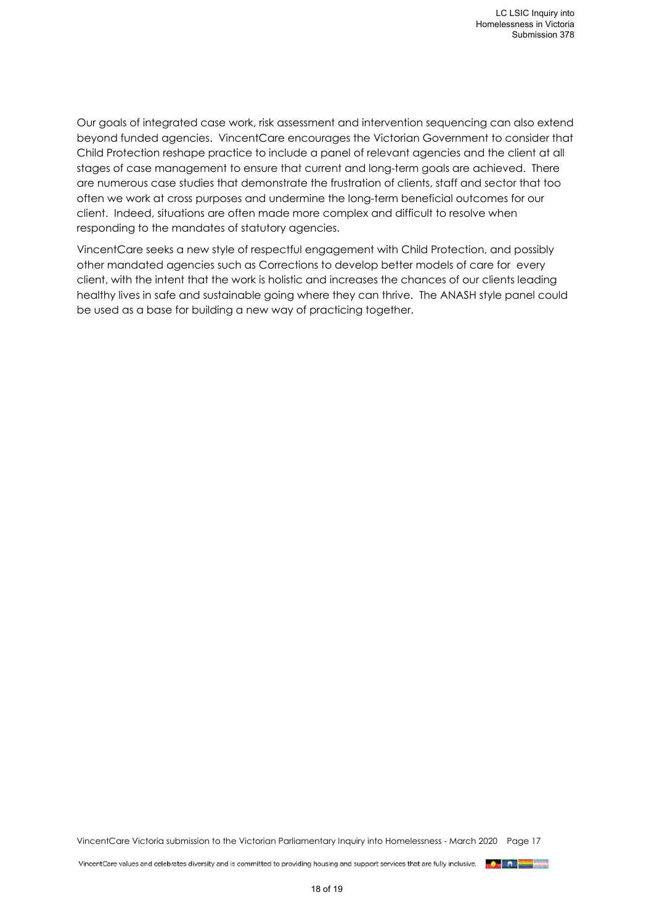Our goals of integrated case work, risk assessment and intervention sequencing can also extend beyond funded agencies. VincentCare encourages the Victorian Government to consider that Child Protection reshape practice to include a panel of relevant agencies and the client at all stages of case management to ensure that current and long-term goals are achieved. There are numerous case studies that demonstrate the frustration of clients, staff and sector that too often we work at cross purposes and undermine the long-term beneficial outcomes for our client. Indeed, situations are often made more complex and difficult to resolve when responding to the mandates of statutory agencies.

VincentCare seeks a new style of respectful engagement with Child Protection, and possibly other mandated agencies such as Corrections to develop better models of care for every client, with the intent that the work is holistic and increases the chances of our clients leading healthy lives in safe and sustainable going where they can thrive. The ANASH style panel could be used as a base for building a new way of practicing together.